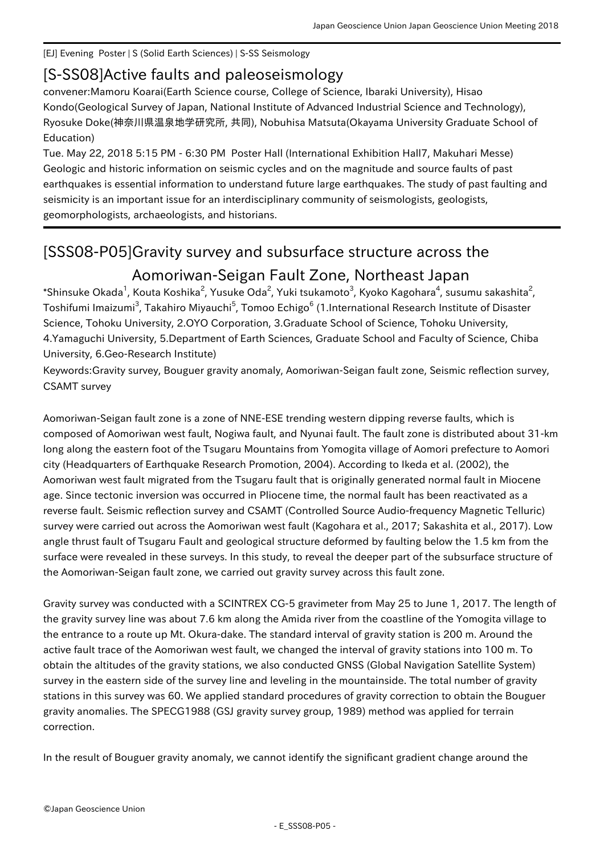## [EJ] Evening Poster | S (Solid Earth Sciences) | S-SS Seismology

## [S-SS08] Active faults and paleoseismology

convener:Mamoru Koarai(Earth Science course, College of Science, Ibaraki University), Hisao Kondo(Geological Survey of Japan, National Institute of Advanced Industrial Science and Technology), Ryosuke Doke(神奈川県温泉地学研究所, 共同), Nobuhisa Matsuta(Okayama University Graduate School of Education)

Tue. May 22, 2018 5:15 PM - 6:30 PM Poster Hall (International Exhibition Hall7, Makuhari Messe) Geologic and historic information on seismic cycles and on the magnitude and source faults of past earthquakes is essential information to understand future large earthquakes. The study of past faulting and seismicity is an important issue for an interdisciplinary community of seismologists, geologists, geomorphologists, archaeologists, and historians.

## [SSS08-P05] Gravity survey and subsurface structure across the Aomoriwan-Seigan Fault Zone, Northeast Japan

\*Shinsuke Okada<sup>1</sup>, Kouta Koshika<sup>2</sup>, Yusuke Oda<sup>2</sup>, Yuki tsukamoto<sup>3</sup>, Kyoko Kagohara<sup>4</sup>, susumu sakashita<sup>2</sup>, Toshifumi Imaizumi<sup>3</sup>, Takahiro Miyauchi<sup>5</sup>, Tomoo Echigo<sup>6</sup> (1.International Research Institute of Disaster Science, Tohoku University, 2.OYO Corporation, 3.Graduate School of Science, Tohoku University, 4.Yamaguchi University, 5.Department of Earth Sciences, Graduate School and Faculty of Science, Chiba University, 6.Geo-Research Institute)

Keywords:Gravity survey, Bouguer gravity anomaly, Aomoriwan-Seigan fault zone, Seismic reflection survey, CSAMT survey

Aomoriwan-Seigan fault zone is a zone of NNE-ESE trending western dipping reverse faults, which is composed of Aomoriwan west fault, Nogiwa fault, and Nyunai fault. The fault zone is distributed about 31-km long along the eastern foot of the Tsugaru Mountains from Yomogita village of Aomori prefecture to Aomori city (Headquarters of Earthquake Research Promotion, 2004). According to Ikeda et al. (2002), the Aomoriwan west fault migrated from the Tsugaru fault that is originally generated normal fault in Miocene age. Since tectonic inversion was occurred in Pliocene time, the normal fault has been reactivated as a reverse fault. Seismic reflection survey and CSAMT (Controlled Source Audio-frequency Magnetic Telluric) survey were carried out across the Aomoriwan west fault (Kagohara et al., 2017; Sakashita et al., 2017). Low angle thrust fault of Tsugaru Fault and geological structure deformed by faulting below the 1.5 km from the surface were revealed in these surveys. In this study, to reveal the deeper part of the subsurface structure of the Aomoriwan-Seigan fault zone, we carried out gravity survey across this fault zone.

Gravity survey was conducted with a SCINTREX CG-5 gravimeter from May 25 to June 1, 2017. The length of the gravity survey line was about 7.6 km along the Amida river from the coastline of the Yomogita village to the entrance to a route up Mt. Okura-dake. The standard interval of gravity station is 200 m. Around the active fault trace of the Aomoriwan west fault, we changed the interval of gravity stations into 100 m. To obtain the altitudes of the gravity stations, we also conducted GNSS (Global Navigation Satellite System) survey in the eastern side of the survey line and leveling in the mountainside. The total number of gravity stations in this survey was 60. We applied standard procedures of gravity correction to obtain the Bouguer gravity anomalies. The SPECG1988 (GSJ gravity survey group, 1989) method was applied for terrain correction.

In the result of Bouguer gravity anomaly, we cannot identify the significant gradient change around the